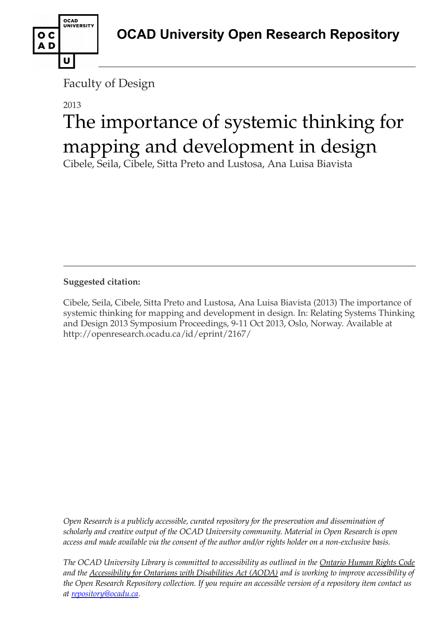

Faculty of Design

## 2013 The importance of systemic thinking for mapping and development in design

Cibele, Seila, Cibele, Sitta Preto and Lustosa, Ana Luisa Biavista

**Suggested citation:** 

Cibele, Seila, Cibele, Sitta Preto and Lustosa, Ana Luisa Biavista (2013) The importance of systemic thinking for mapping and development in design. In: Relating Systems Thinking and Design 2013 Symposium Proceedings, 9-11 Oct 2013, Oslo, Norway. Available at http://openresearch.ocadu.ca/id/eprint/2167/

*Open Research is a publicly accessible, curated repository for the preservation and dissemination of scholarly and creative output of the OCAD University community. Material in Open Research is open access and made available via the consent of the author and/or rights holder on a non-exclusive basis.* 

*The OCAD University Library is committed to accessibility as outlined in the Ontario Human Rights Code and the Accessibility for Ontarians with Disabilities Act (AODA) and is working to improve accessibility of the Open Research Repository collection. If you require an accessible version of a repository item contact us at [repository@ocadu.ca.](mailto:repository@ocadu.ca)*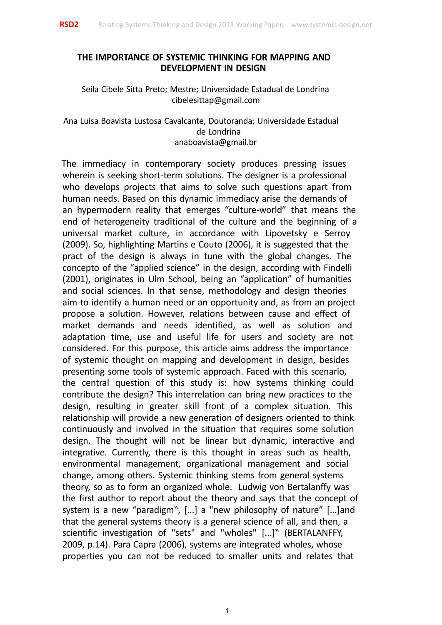

## **THE IMPORTANCE OF SYSTEMIC THINKING FOR MAPPING AND DEVELOPMENT IN DESIGN**

Seila Cibele Sitta Preto; Mestre; Universidade Estadual de Londrina cibelesittap@gmail.com

Ana Luisa Boavista Lustosa Cavalcante, Doutoranda; Universidade Estadual de Londrina anaboavista@gmail.br

The immediacy in contemporary society produces pressing issues wherein is seeking short-term solutions. The designer is a professional who develops projects that aims to solve such questions apart from human needs. Based on this dynamic immediacy arise the demands of an hypermodern reality that emerges "culture-world" that means the end of heterogeneity traditional of the culture and the beginning of a universal market culture, in accordance with Lipovetsky e Serroy (2009). So, highlighting Martins e Couto (2006), it is suggested that the pract of the design is always in tune with the global changes. The concepto of the "applied science" in the design, according with Findelli (2001), originates in Ulm School, being an "application" of humanities and social sciences. In that sense, methodology and design theories aim to identify a human need or an opportunity and, as from an project propose a solution. However, relations between cause and effect of market demands and needs identified, as well as solution and adaptation time, use and useful life for users and society are not considered. For this purpose, this article aims address the importance of systemic thought on mapping and development in design, besides presenting some tools of systemic approach. Faced with this scenario, the central question of this study is: how systems thinking could contribute the design? This interrelation can bring new practices to the design, resulting in greater skill front of a complex situation. This relationship will provide a new generation of designers oriented to think continuously and involved in the situation that requires some solution design. The thought will not be linear but dynamic, interactive and integrative. Currently, there is this thought in areas such as health, environmental management, organizational management and social change, among others. Systemic thinking stems from general systems theory, so as to form an organized whole. Ludwig von Bertalanffy was the first author to report about the theory and says that the concept of system is a new "paradigm", [...] a "new philosophy of nature" [...]and that the general systems theory is a general science of all, and then, a scientific investigation of "sets" and "wholes" [...]" (BERTALANFFY, 2009, p.14). Para Capra (2006), systems are integrated wholes, whose properties you can not be reduced to smaller units and relates that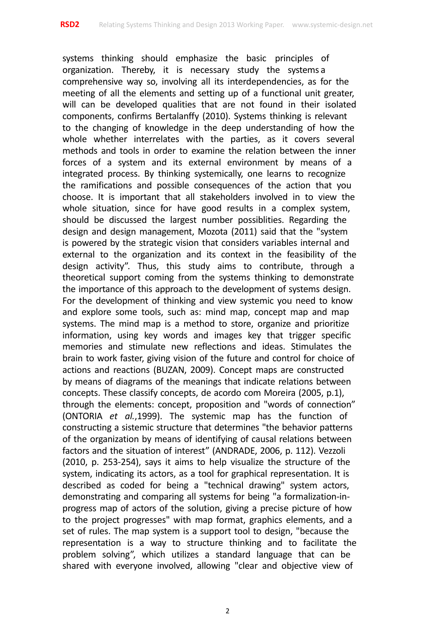systems thinking should emphasize the basic principles of organization. Thereby, it is necessary study the systems a comprehensive way so, involving all its interdependencies, as for the meeting of all the elements and setting up of a functional unit greater, will can be developed qualities that are not found in their isolated components, confirms Bertalanffy (2010). Systems thinking is relevant to the changing of knowledge in the deep understanding of how the whole whether interrelates with the parties, as it covers several methods and tools in order to examine the relation between the inner forces of a system and its external environment by means of a integrated process. By thinking systemically, one learns to recognize the ramifications and possible consequences of the action that you choose. It is important that all stakeholders involved in to view the whole situation, since for have good results in a complex system, should be discussed the largest number possiblities. Regarding the design and design management, Mozota (2011) said that the "system is powered by the strategic vision that considers variables internal and external to the organization and its context in the feasibility of the design activity". Thus, this study aims to contribute, through a theoretical support coming from the systems thinking to demonstrate the importance of this approach to the development of systems design. For the development of thinking and view systemic you need to know and explore some tools, such as: mind map, concept map and map systems. The mind map is a method to store, organize and prioritize information, using key words and images key that trigger specific memories and stimulate new reflections and ideas. Stimulates the brain to work faster, giving vision of the future and control for choice of actions and reactions (BUZAN, 2009). Concept maps are constructed by means of diagrams of the meanings that indicate relations between concepts. These classify concepts, de acordo com Moreira (2005, p.1), through the elements: concept, proposition and "words of connection" (ONTORIA *et al.*,1999). The systemic map has the function of constructing a sistemic structure that determines "the behavior patterns of the organization by means of identifying of causal relations between factors and the situation of interest" (ANDRADE, 2006, p. 112). Vezzoli (2010, p. 253-254), says it aims to help visualize the structure of the system, indicating its actors, as a tool for graphical representation. It is described as coded for being a "technical drawing" system actors, demonstrating and comparing all systems for being "a formalization-inprogress map of actors of the solution, giving a precise picture of how to the project progresses" with map format, graphics elements, and a set of rules. The map system is a support tool to design, "because the representation is a way to structure thinking and to facilitate the problem solving", which utilizes a standard language that can be shared with everyone involved, allowing "clear and objective view of